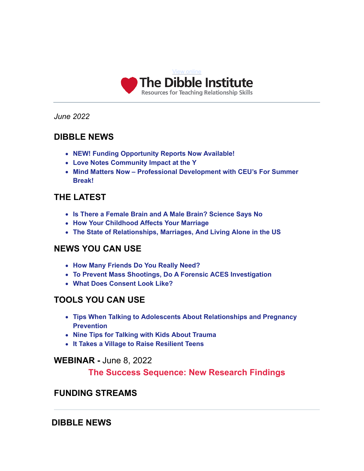

*June 2022*

## **DIBBLE NEWS**

- **NEW! Funding Opportunity Reports Now Available!**
- **Love Notes Community Impact at the Y**
- **Mind Matters Now Professional Development with CEU's For Summer Break!**

## **THE LATEST**

- **Is There a Female Brain and A Male Brain? Science Says No**
- **How Your Childhood Affects Your Marriage**
- **The State of Relationships, Marriages, And Living Alone in the US**

## **NEWS YOU CAN USE**

- **How Many Friends Do You Really Need?**
- **To Prevent Mass Shootings, Do A Forensic ACES Investigation**
- **What Does Consent Look Like?**

## **TOOLS YOU CAN USE**

- **Tips When Talking to Adolescents About Relationships and Pregnancy Prevention**
- **Nine Tips for Talking with Kids About Trauma**
- **It Takes a Village to Raise Resilient Teens**

## **WEBINAR -** June 8, 2022

## **The Success Sequence: New Research Findings**

## **FUNDING STREAMS**

## **DIBBLE NEWS**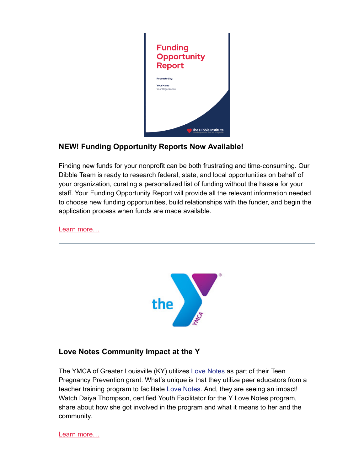

## **NEW! Funding Opportunity Reports Now Available!**

Finding new funds for your nonprofit can be both frustrating and time-consuming. Our Dibble Team is ready to research federal, state, and local opportunities on behalf of your organization, curating a personalized list of funding without the hassle for your staff. Your Funding Opportunity Report will provide all the relevant information needed to choose new funding opportunities, build relationships with the funder, and begin the application process when funds are made available.

[Learn more…](https://www.dibbleinstitute.org/product/funding-opportunity-report/)



## **Love Notes Community Impact at the Y**

The YMCA of Greater Louisville (KY) utilizes [Love Notes](https://www.dibbleinstitute.org/our-programs/love-notes-classic/) as part of their Teen Pregnancy Prevention grant. What's unique is that they utilize peer educators from a teacher training program to facilitate [Love Notes](https://www.dibbleinstitute.org/our-programs/love-notes-classic/). And, they are seeing an impact! Watch Daiya Thompson, certified Youth Facilitator for the Y Love Notes program, share about how she got involved in the program and what it means to her and the community.

[Learn more…](https://www.youtube.com/watch?v=95bjPTkaq4c)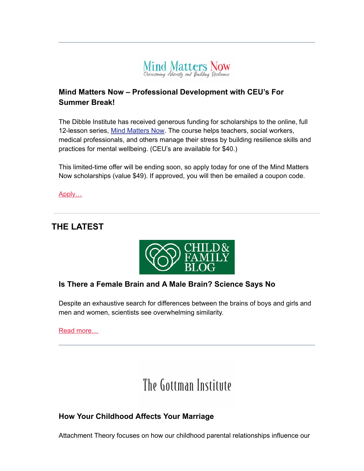

## **Mind Matters Now – Professional Development with CEU's For Summer Break!**

The Dibble Institute has received generous funding for scholarships to the online, full 12-lesson series, [Mind Matters Now.](https://www.dibbleinstitute.org/mind-matters-now-ce/) The course helps teachers, social workers, medical professionals, and others manage their stress by building resilience skills and practices for mental wellbeing. (CEU's are available for \$40.)

This limited-time offer will be ending soon, so apply today for one of the Mind Matters Now scholarships (value \$49). If approved, you will then be emailed a coupon code.

[Apply…](https://www.dibbleinstitute.org/scholarships-now-available-for-mind-matters-now/)

# **THE LATEST**



## **Is There a Female Brain and A Male Brain? Science Says No**

Despite an exhaustive search for differences between the brains of boys and girls and men and women, scientists see overwhelming similarity.

[Read more…](https://childandfamilyblog.com/male-female-brain-differences/)

# The Gottman Institute

## **How Your Childhood Affects Your Marriage**

Attachment Theory focuses on how our childhood parental relationships influence our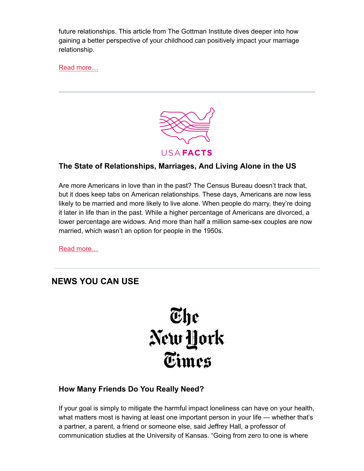future relationships. This article from The Gottman Institute dives deeper into how gaining a better perspective of your childhood can positively impact your marriage relationship.

[Read more…](https://www.gottman.com/blog/how-your-childhood-can-affect-your-marriage/)



## **The State of Relationships, Marriages, And Living Alone in the US**

Are more Americans in love than in the past? The Census Bureau doesn't track that, but it does keep tabs on American relationships. These days, Americans are now less likely to be married and more likely to live alone. When people do marry, they're doing it later in life than in the past. While a higher percentage of Americans are divorced, a lower percentage are widows. And more than half a million same-sex couples are now married, which wasn't an option for people in the 1950s.

[Read more…](https://usafacts.org/articles/state-relationships-marriages-and-living-alone-us/?)

## **NEWS YOU CAN USE**



## **How Many Friends Do You Really Need?**

If your goal is simply to mitigate the harmful impact loneliness can have on your health, what matters most is having at least one important person in your life — whether that's a partner, a parent, a friend or someone else, said Jeffrey Hall, a professor of communication studies at the University of Kansas. "Going from zero to one is where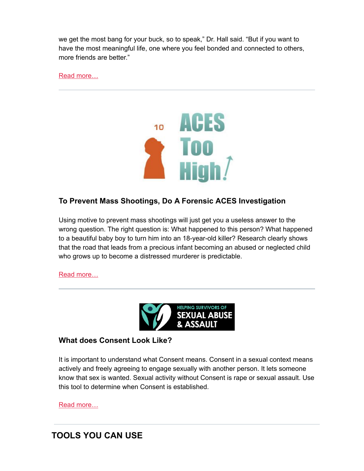we get the most bang for your buck, so to speak," Dr. Hall said. "But if you want to have the most meaningful life, one where you feel bonded and connected to others, more friends are better."

[Read more…](https://www.nytimes.com/2022/05/07/well/live/adult-friendships-number.html)



## **To Prevent Mass Shootings, Do A Forensic ACES Investigation**

Using motive to prevent mass shootings will just get you a useless answer to the wrong question. The right question is: What happened to this person? What happened to a beautiful baby boy to turn him into an 18-year-old killer? Research clearly shows that the road that leads from a precious infant becoming an abused or neglected child who grows up to become a distressed murderer is predictable.

[Read more…](https://acestoohigh.com/2022/05/18/to-prevent-mass-shootings-dont-bother-with-motive-do-a-forensic-aces-investigation/)



#### **What does Consent Look Like?**

It is important to understand what Consent means. Consent in a sexual context means actively and freely agreeing to engage sexually with another person. It lets someone know that sex is wanted. Sexual activity without Consent is rape or sexual assault. Use this tool to determine when Consent is established.

[Read more…](https://helpingsurvivors.org/what-consent-looks-like/)

# **TOOLS YOU CAN USE**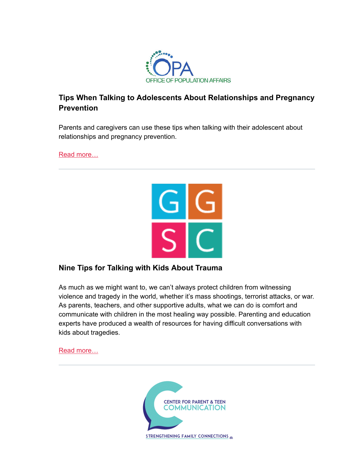

## **Tips When Talking to Adolescents About Relationships and Pregnancy Prevention**

Parents and caregivers can use these tips when talking with their adolescent about relationships and pregnancy prevention.

[Read more…](https://opa.hhs.gov/adolescent-health/reproductive-health-and-teen-pregnancy/tips-parents-and-caregivers-teens)



## **Nine Tips for Talking with Kids About Trauma**

As much as we might want to, we can't always protect children from witnessing violence and tragedy in the world, whether it's mass shootings, terrorist attacks, or war. As parents, teachers, and other supportive adults, what we can do is comfort and communicate with children in the most healing way possible. Parenting and education experts have produced a wealth of resources for having difficult conversations with kids about tragedies.

[Read more…](https://greatergood.berkeley.edu/article/item/nine_tips_for_talking_to_kids_about_trauma)

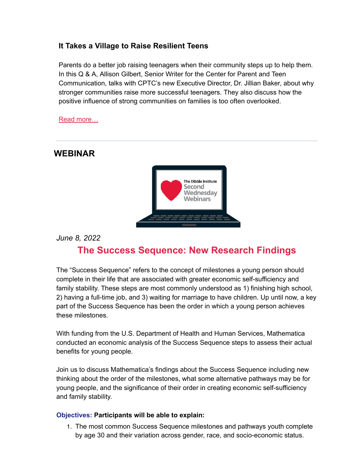## **It Takes a Village to Raise Resilient Teens**

Parents do a better job raising teenagers when their community steps up to help them. In this Q & A, Allison Gilbert, Senior Writer for the Center for Parent and Teen Communication, talks with CPTC's new Executive Director, Dr. Jillian Baker, about why stronger communities raise more successful teenagers. They also discuss how the positive influence of strong communities on families is too often overlooked.

[Read more…](https://parentandteen.com/qa-power-of-community/)

## **WEBINAR**



*June 8, 2022*

# **The Success Sequence: New Research Findings**

The "Success Sequence" refers to the concept of milestones a young person should complete in their life that are associated with greater economic self-sufficiency and family stability. These steps are most commonly understood as 1) finishing high school, 2) having a full-time job, and 3) waiting for marriage to have children. Up until now, a key part of the Success Sequence has been the order in which a young person achieves these milestones.

With funding from the U.S. Department of Health and Human Services, Mathematica conducted an economic analysis of the Success Sequence steps to assess their actual benefits for young people.

Join us to discuss Mathematica's findings about the Success Sequence including new thinking about the order of the milestones, what some alternative pathways may be for young people, and the significance of their order in creating economic self-sufficiency and family stability.

#### **Objectives: Participants will be able to explain:**

1. The most common Success Sequence milestones and pathways youth complete by age 30 and their variation across gender, race, and socio-economic status.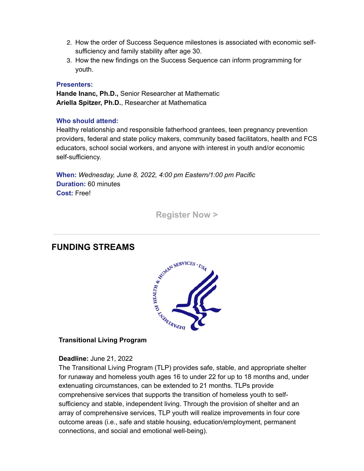- 2. How the order of Success Sequence milestones is associated with economic selfsufficiency and family stability after age 30.
- 3. How the new findings on the Success Sequence can inform programming for youth.

#### **Presenters:**

**Hande Inanc, Ph.D.,** Senior Researcher at Mathematic **Ariella Spitzer, Ph.D.**, Researcher at Mathematica

#### **Who should attend:**

Healthy relationship and responsible fatherhood grantees, teen pregnancy prevention providers, federal and state policy makers, community based facilitators, health and FCS educators, school social workers, and anyone with interest in youth and/or economic self-sufficiency.

**When:** *Wednesday, June 8, 2022, 4:00 pm Eastern/1:00 pm Pacific* **Duration:** 60 minutes **Cost:** Free!

**[Register Now >](https://register.gotowebinar.com/register/6902423260368866829)**

## **FUNDING STREAMS**



#### **Transitional Living Program**

#### **Deadline:** June 21, 2022

The Transitional Living Program (TLP) provides safe, stable, and appropriate shelter for runaway and homeless youth ages 16 to under 22 for up to 18 months and, under extenuating circumstances, can be extended to 21 months. TLPs provide comprehensive services that supports the transition of homeless youth to selfsufficiency and stable, independent living. Through the provision of shelter and an array of comprehensive services, TLP youth will realize improvements in four core outcome areas (i.e., safe and stable housing, education/employment, permanent connections, and social and emotional well-being).